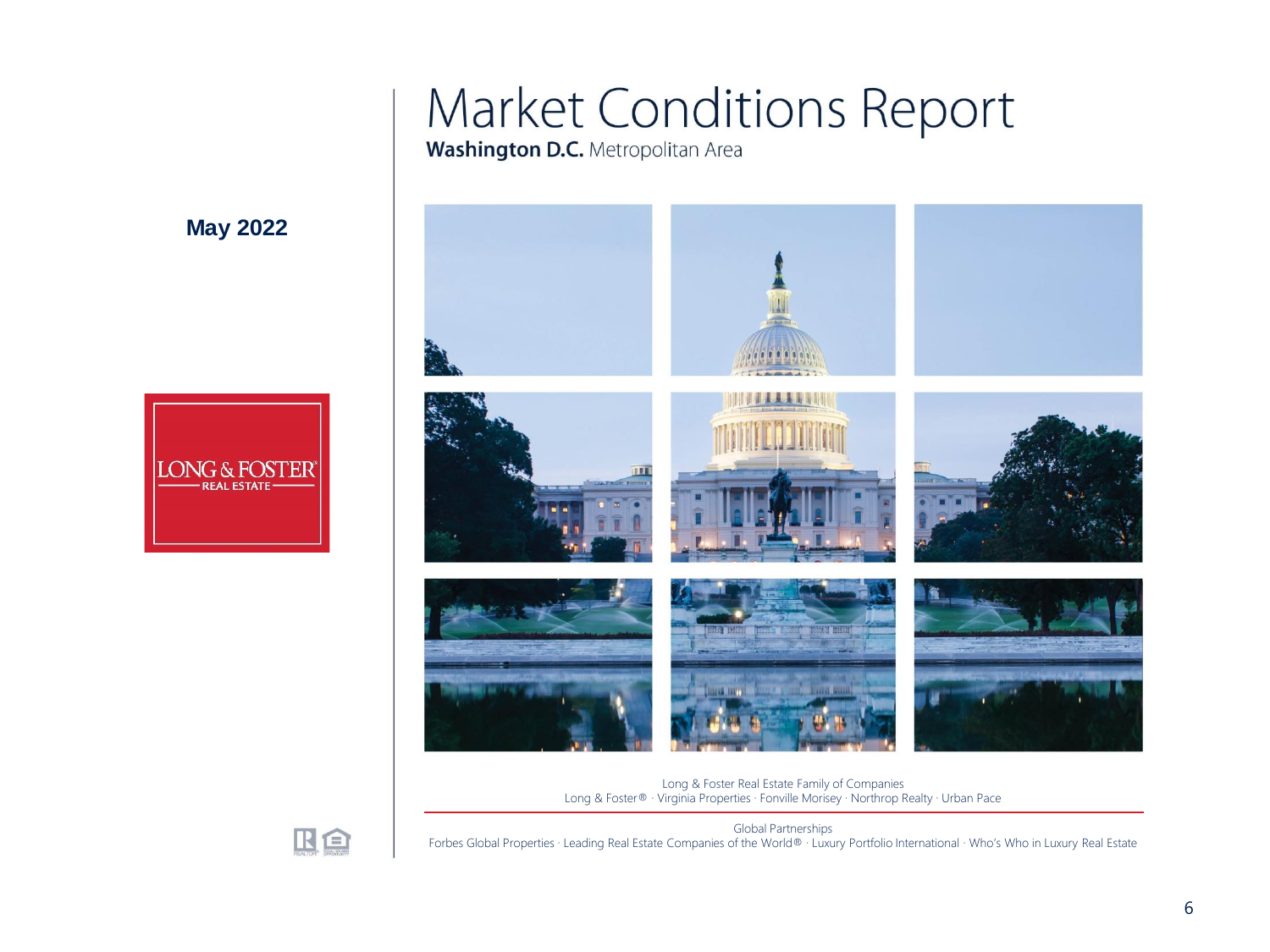### **Market Conditions Report**

**Washington D.C.** Metropolitan Area



Long & Foster Real Estate Family of Companies Long & Foster® · Virginia Properties · Fonville Morisey · Northrop Realty · Urban Pace



**May 2022**

**ONG & FOST** 

**REAL ESTAT** 

Global Partnerships Forbes Global Properties · Leading Real Estate Companies of the World® · Luxury Portfolio International · Who's Who in Luxury Real Estate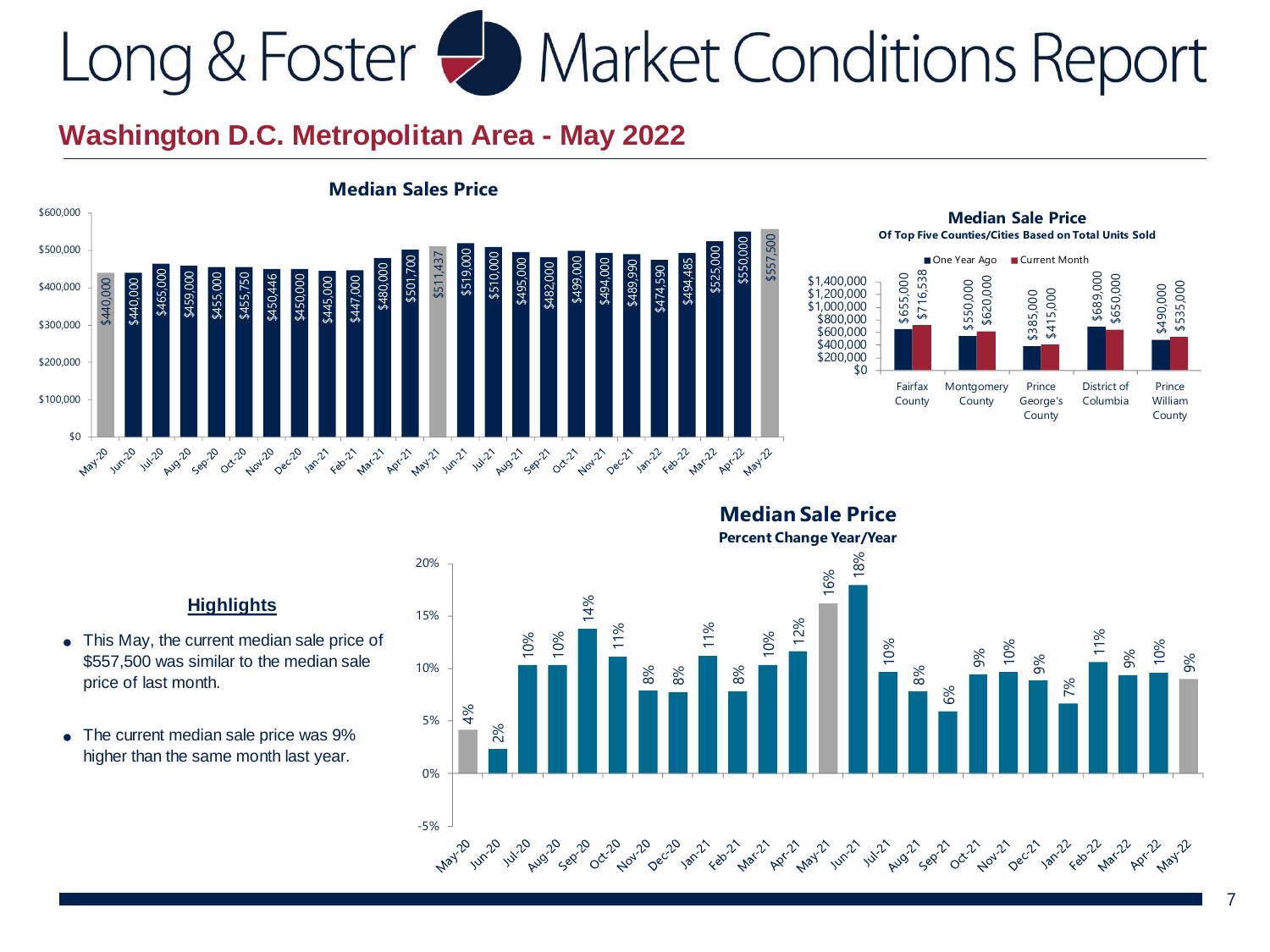### **Washington D.C. Metropolitan Area - May 2022**





#### **Percent Change Year/Year** 18% 20% 16% 14% 15% 12% 11% 11% 10% 11% 10% 10% 10% 10% 10% 9% 9% 9% 9% 10% 8% 8% 8% 8% 7% 6%  $4\%$ 5 % 2% 0% -5% **May-20** 22 - 22 - 23

**Median Sale Price**

- This May, the current median sale price of \$557,500 was similar to the median sale price of last month.
- ●The current median sale price was 9% higher than the same month last year.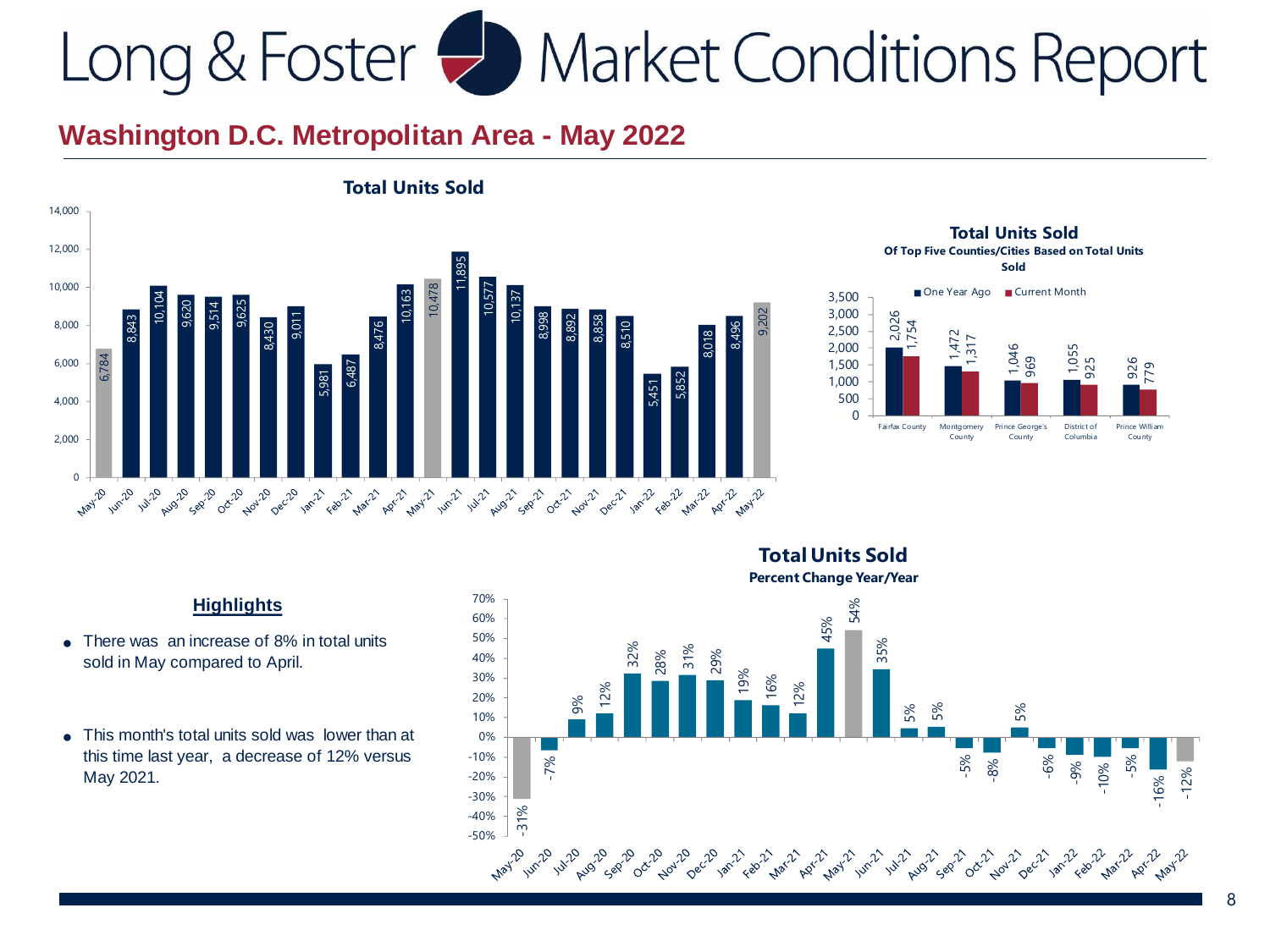

**Total Units Sold Of Top Five Counties/Cities Based on Total Units Sold** 



- ●There was an increase of 8% in total units sold in May compared to April.
- ●This month's total units sold was lower than at this time last year, a decrease of 12% versus

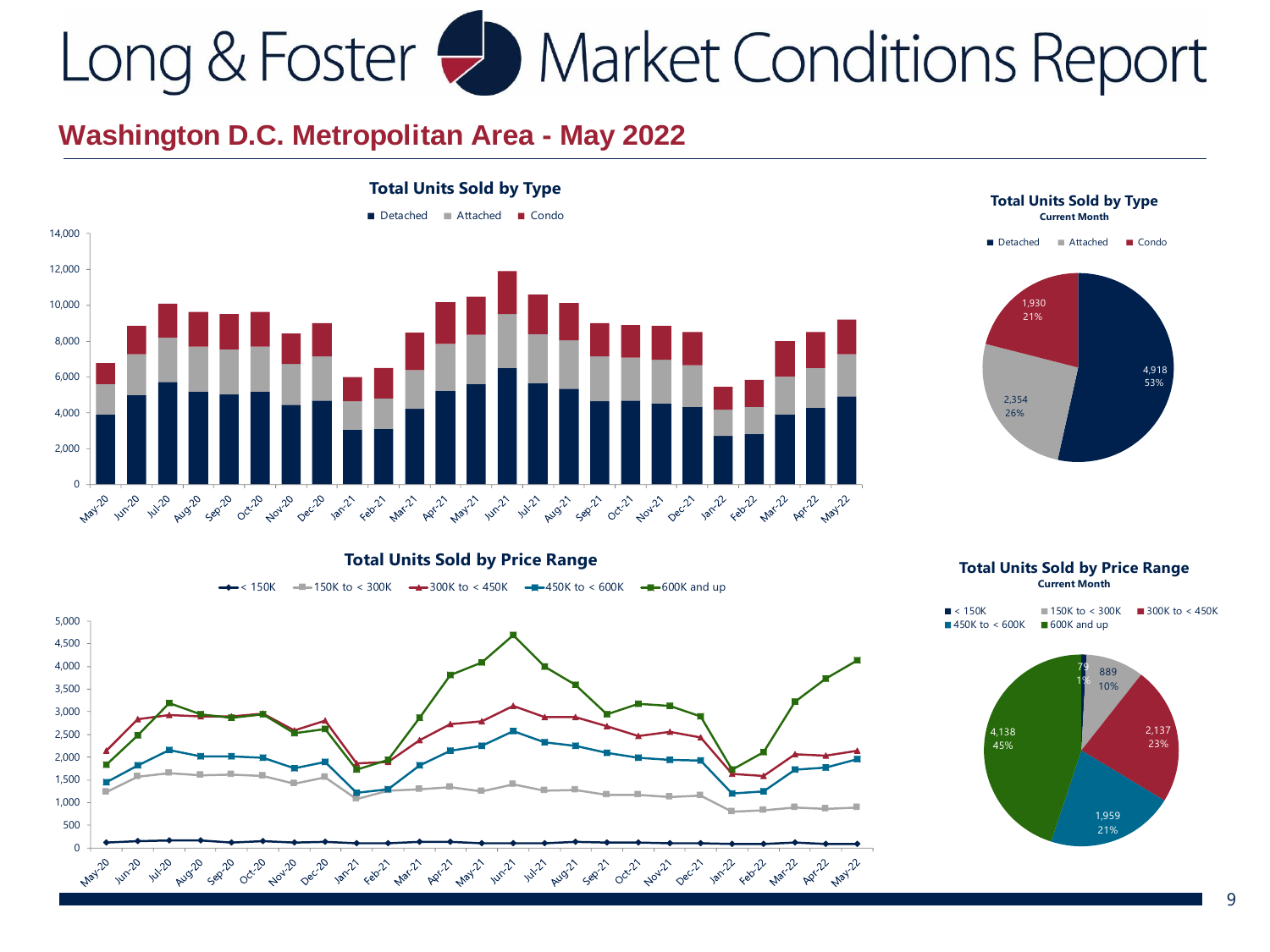### **Washington D.C. Metropolitan Area - May 2022**





**Total Units Sold by Type**

#### **Total Units Sold by Price Range**

 $\times$  150K  $\times$  - 150K to  $\times$  300K  $\times$  300K to  $\times$  450K  $\times$  - 450K to  $\times$  600K  $\times$  -  $\pi$  - 600K and up



#### **Total Units Sold by Price Range Current Month**

| $\blacksquare$ < 150K         | $150K$ to $\lt$ 300K | $\blacksquare$ 300K to < 450K |
|-------------------------------|----------------------|-------------------------------|
| $\blacksquare$ 450K to < 600K | 600K and up          |                               |

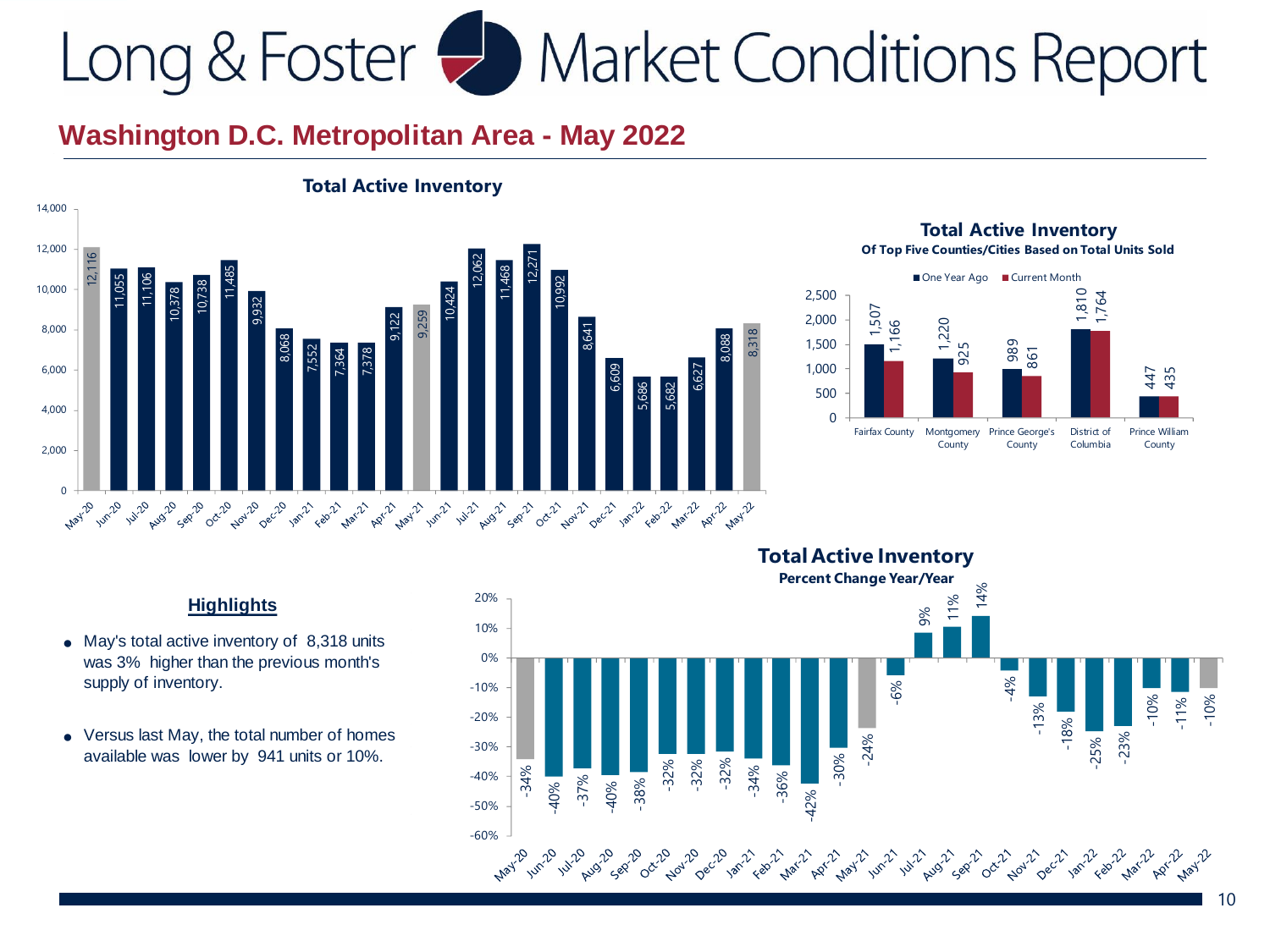

#### **Total Active Inventory**

#### **Total Active Inventory Of Top Five Counties/Cities Based on Total Units Sold**



- May's total active inventory of 8,318 units was 3% higher than the previous month's supply of inventory.
- Versus last May, the total number of homes

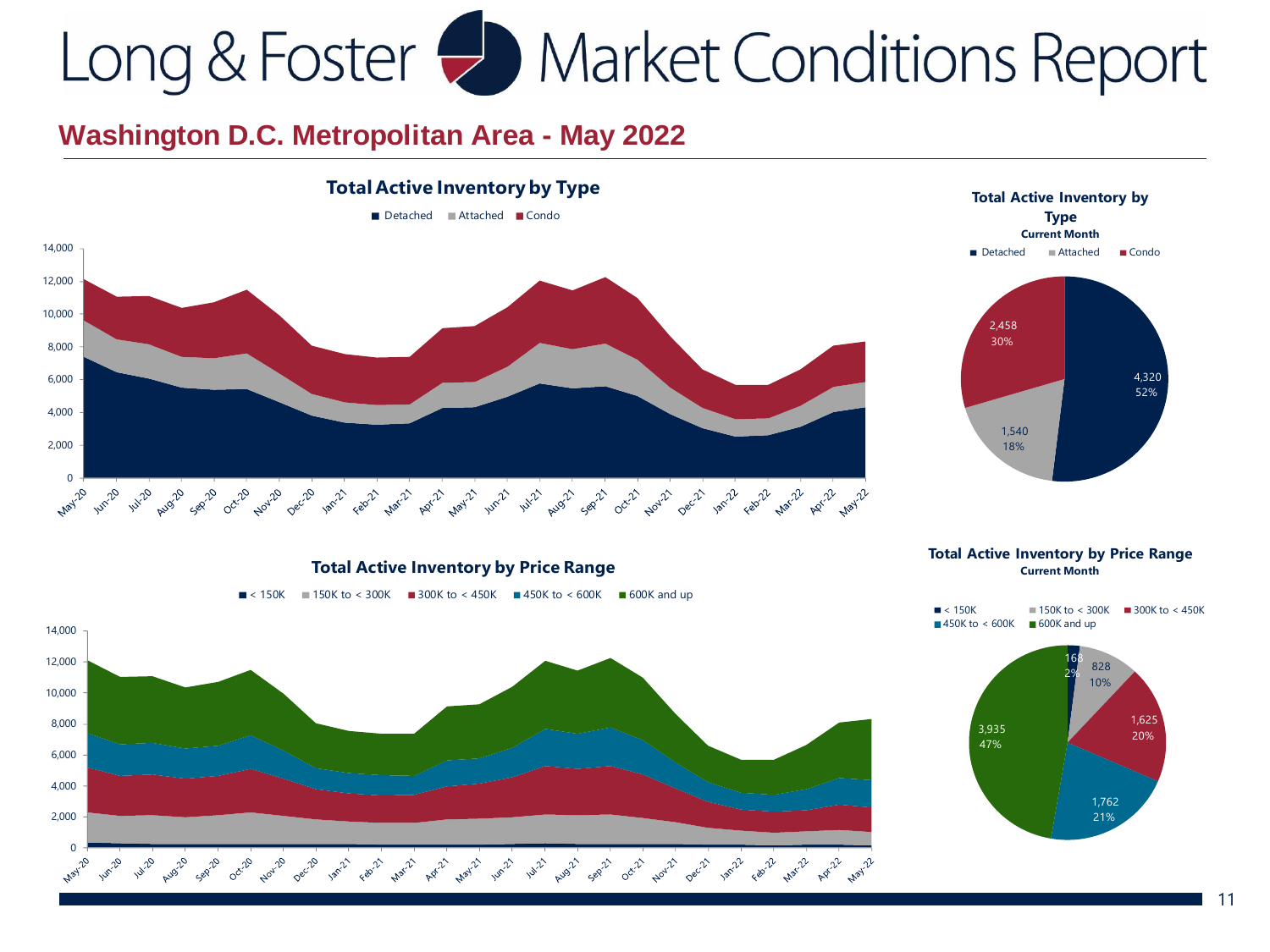



**Total Active Inventory by Price Range**

 $\blacksquare$  < 150K  $\blacksquare$  150K to < 300K  $\blacksquare$  300K to < 450K  $\blacksquare$  450K to < 600K  $\blacksquare$  600K and up



**Total Active Inventory by Price Range Current Month**



1,762 21%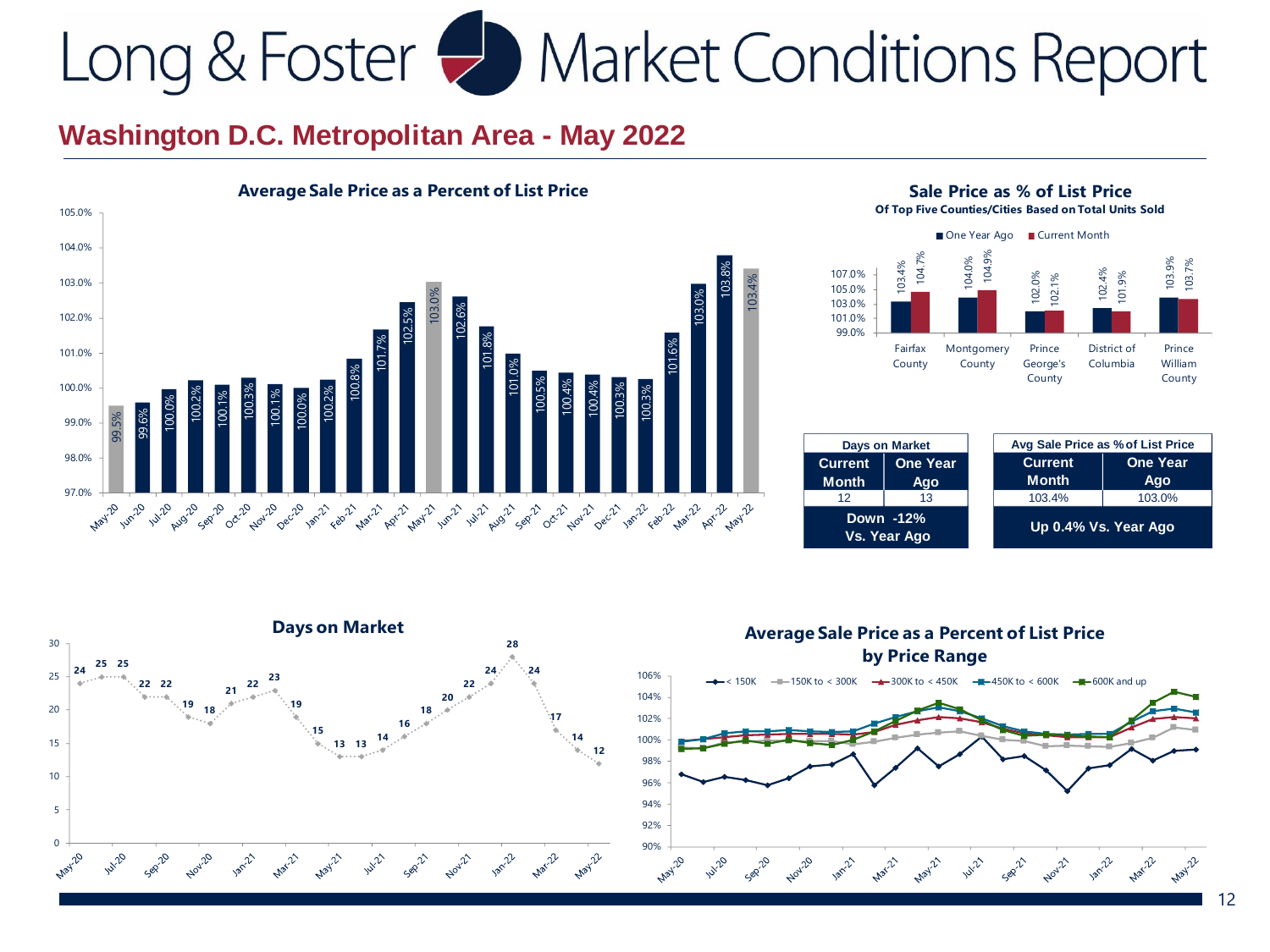





| <b>Days on Market</b>          |                        |                      | Avg Sale Price as % of List Price |                        |
|--------------------------------|------------------------|----------------------|-----------------------------------|------------------------|
| <b>Current</b><br><b>Month</b> | <b>One Year</b><br>Ago |                      | <b>Current</b><br><b>Month</b>    | <b>One Year</b><br>Ago |
| 12                             | 13                     |                      | 103.4%                            | 103.0%                 |
| Down -12%<br>Vs. Year Ago      |                        | Up 0.4% Vs. Year Ago |                                   |                        |



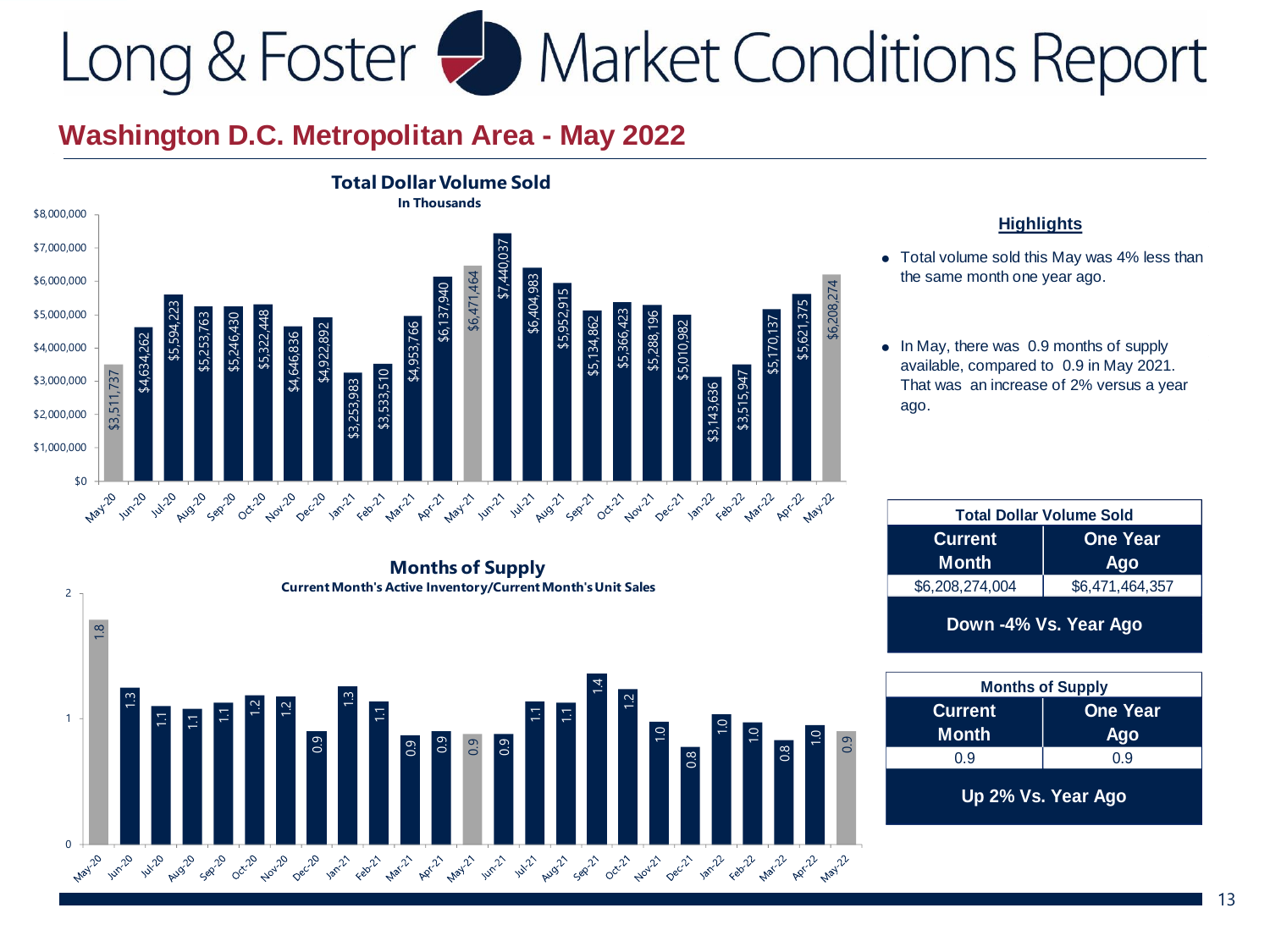2



- Total volume sold this May was 4% less than the same month one year ago.
- In May, there was 0.9 months of supply available, compared to 0.9 in May 2021. That was an increase of 2% versus a year

| <b>Total Dollar Volume Sold</b> |                 |  |  |
|---------------------------------|-----------------|--|--|
| <b>Current</b>                  | <b>One Year</b> |  |  |
| <b>Month</b>                    | Ago             |  |  |
| \$6,208,274,004                 | \$6,471,464,357 |  |  |
| Down -4% Vs. Year Ago           |                 |  |  |